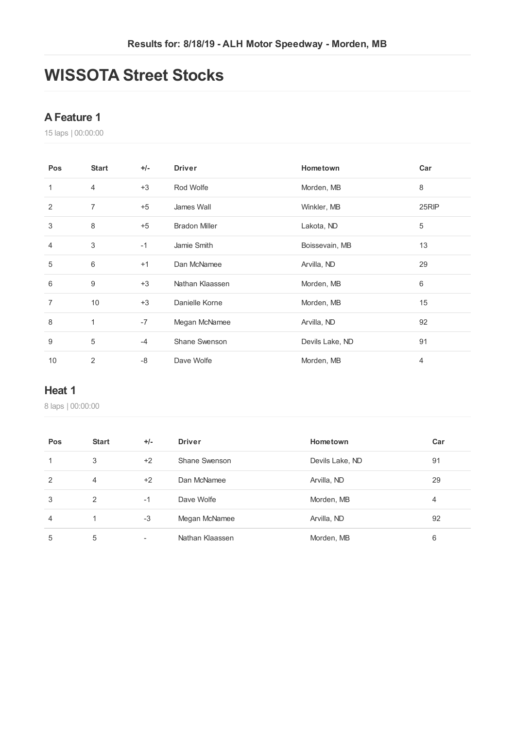# **WISSOTA Street Stocks**

#### **AFeature 1**

laps | 00:00:00

| Pos            | <b>Start</b>   | $+/-$ | <b>Driver</b>        | Hometown        | Car   |
|----------------|----------------|-------|----------------------|-----------------|-------|
| 1              | $\overline{4}$ | $+3$  | Rod Wolfe            | Morden, MB      | 8     |
| 2              | $\overline{7}$ | $+5$  | James Wall           | Winkler, MB     | 25RIP |
| 3              | 8              | $+5$  | <b>Bradon Miller</b> | Lakota, ND      | 5     |
| $\overline{4}$ | 3              | $-1$  | Jamie Smith          | Boissevain, MB  | 13    |
| 5              | 6              | $+1$  | Dan McNamee          | Arvilla, ND     | 29    |
| 6              | 9              | $+3$  | Nathan Klaassen      | Morden, MB      | 6     |
| 7              | 10             | $+3$  | Danielle Korne       | Morden, MB      | 15    |
| 8              | $\mathbf{1}$   | $-7$  | Megan McNamee        | Arvilla, ND     | 92    |
| 9              | 5              | $-4$  | Shane Swenson        | Devils Lake, ND | 91    |
| 10             | 2              | -8    | Dave Wolfe           | Morden, MB      | 4     |

#### **Heat 1**

| Pos            | <b>Start</b>   | $+/-$ | <b>Driver</b>   | Hometown        | Car |
|----------------|----------------|-------|-----------------|-----------------|-----|
| 1              | 3              | $+2$  | Shane Swenson   | Devils Lake, ND | 91  |
| $\overline{2}$ | $\overline{4}$ | $+2$  | Dan McNamee     | Arvilla, ND     | 29  |
| 3              | 2              | $-1$  | Dave Wolfe      | Morden, MB      | 4   |
| $\overline{4}$ |                | $-3$  | Megan McNamee   | Arvilla, ND     | 92  |
| 5              | 5              | ۰     | Nathan Klaassen | Morden, MB      | 6   |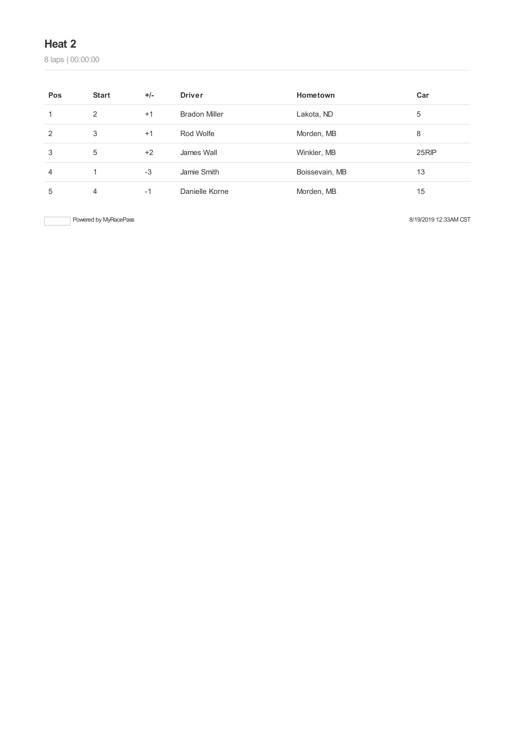laps | 00:00:00

| Pos            | <b>Start</b> | $+/-$ | <b>Driver</b>        | Hometown       | Car   |
|----------------|--------------|-------|----------------------|----------------|-------|
|                | 2            | $+1$  | <b>Bradon Miller</b> | Lakota, ND     | 5     |
| 2              | 3            | $+1$  | Rod Wolfe            | Morden, MB     | 8     |
| 3              | 5            | $+2$  | James Wall           | Winkler, MB    | 25RIP |
| $\overline{4}$ |              | $-3$  | Jamie Smith          | Boissevain, MB | 13    |
| 5              | 4            | $-1$  | Danielle Korne       | Morden, MB     | 15    |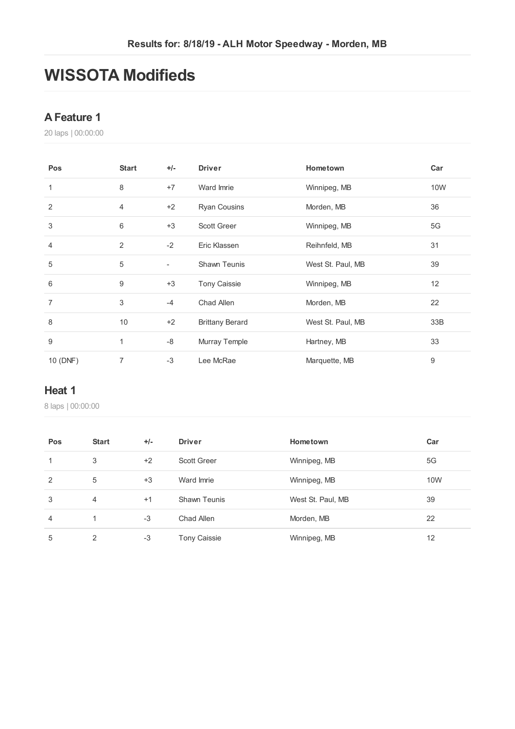# **WISSOTA Modifieds**

#### **AFeature 1**

laps | 00:00:00

| Pos            | <b>Start</b>   | $+/-$                    | <b>Driver</b>          | Hometown          | Car        |
|----------------|----------------|--------------------------|------------------------|-------------------|------------|
| $\mathbf{1}$   | 8              | $+7$                     | Ward Imrie             | Winnipeg, MB      | <b>10W</b> |
| 2              | $\overline{4}$ | $+2$                     | <b>Ryan Cousins</b>    | Morden, MB        | 36         |
| 3              | 6              | $+3$                     | Scott Greer            | Winnipeg, MB      | 5G         |
| $\overline{4}$ | $\overline{2}$ | $-2$                     | Eric Klassen           | Reihnfeld, MB     | 31         |
| 5              | 5              | $\overline{\phantom{a}}$ | <b>Shawn Teunis</b>    | West St. Paul, MB | 39         |
| 6              | 9              | $+3$                     | <b>Tony Caissie</b>    | Winnipeg, MB      | 12         |
| $\overline{7}$ | 3              | $-4$                     | Chad Allen             | Morden, MB        | 22         |
| 8              | 10             | $+2$                     | <b>Brittany Berard</b> | West St. Paul, MB | 33B        |
| 9              | 1              | $-8$                     | Murray Temple          | Hartney, MB       | 33         |
| 10 (DNF)       | 7              | $-3$                     | Lee McRae              | Marquette, MB     | 9          |

#### **Heat 1**

| Pos            | <b>Start</b> | $+/-$ | <b>Driver</b>       | Hometown          | Car |
|----------------|--------------|-------|---------------------|-------------------|-----|
| 1              | 3            | $+2$  | <b>Scott Greer</b>  | Winnipeg, MB      | 5G  |
| 2              | 5            | $+3$  | Ward Imrie          | Winnipeg, MB      | 10W |
| 3              | 4            | $+1$  | <b>Shawn Teunis</b> | West St. Paul, MB | 39  |
| $\overline{4}$ | 4            | $-3$  | Chad Allen          | Morden, MB        | 22  |
| 5              | 2            | -3    | <b>Tony Caissie</b> | Winnipeg, MB      | 12  |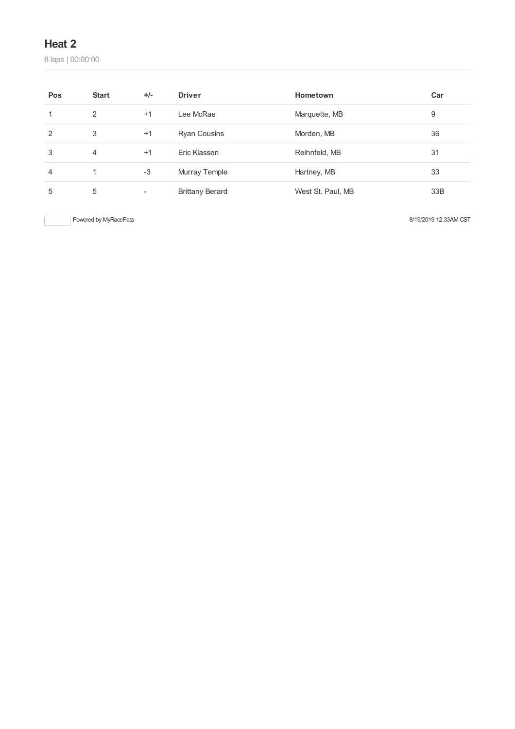laps | 00:00:00

| Pos | <b>Start</b> | $+/-$                    | <b>Driver</b>          | Hometown          | Car |
|-----|--------------|--------------------------|------------------------|-------------------|-----|
|     | 2            | $+1$                     | Lee McRae              | Marquette, MB     | 9   |
| 2   | 3            | $+1$                     | <b>Ryan Cousins</b>    | Morden, MB        | 36  |
| 3   | 4            | $+1$                     | Eric Klassen           | Reihnfeld, MB     | 31  |
| 4   | 1            | $-3$                     | Murray Temple          | Hartney, MB       | 33  |
| 5   | 5            | $\overline{\phantom{a}}$ | <b>Brittany Berard</b> | West St. Paul, MB | 33B |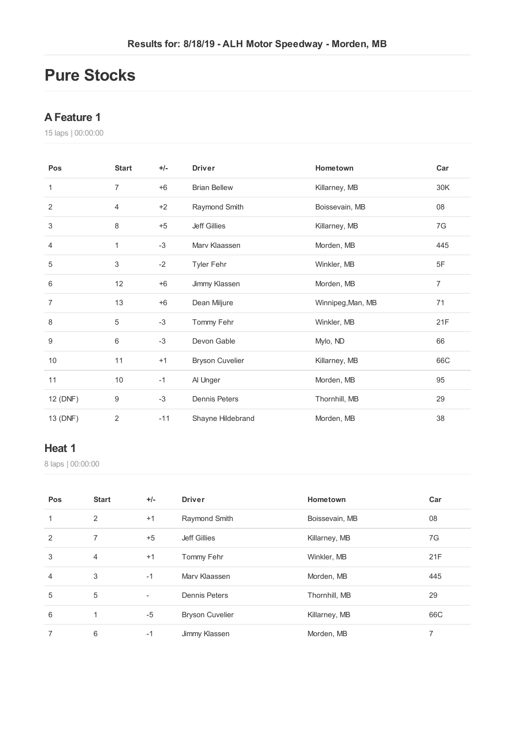# **Pure Stocks**

#### **AFeature 1**

laps | 00:00:00

| Pos            | <b>Start</b>   | $+/-$ | <b>Driver</b>          | Hometown          | Car            |
|----------------|----------------|-------|------------------------|-------------------|----------------|
| 1              | $\overline{7}$ | $+6$  | <b>Brian Bellew</b>    | Killarney, MB     | 30K            |
| 2              | 4              | $+2$  | Raymond Smith          | Boissevain, MB    | 08             |
| 3              | 8              | $+5$  | <b>Jeff Gillies</b>    | Killarney, MB     | 7G             |
| 4              | 1              | $-3$  | Mary Klaassen          | Morden, MB        | 445            |
| 5              | 3              | $-2$  | <b>Tyler Fehr</b>      | Winkler, MB       | 5F             |
| 6              | 12             | $+6$  | Jimmy Klassen          | Morden, MB        | $\overline{7}$ |
| $\overline{7}$ | 13             | $+6$  | Dean Miljure           | Winnipeg, Man, MB | 71             |
| 8              | 5              | $-3$  | Tommy Fehr             | Winkler, MB       | 21F            |
| 9              | 6              | $-3$  | Devon Gable            | Mylo, ND          | 66             |
| 10             | 11             | $+1$  | <b>Bryson Cuvelier</b> | Killarney, MB     | 66C            |
| 11             | 10             | $-1$  | Al Unger               | Morden, MB        | 95             |
| 12 (DNF)       | 9              | $-3$  | <b>Dennis Peters</b>   | Thornhill, MB     | 29             |
| 13 (DNF)       | 2              | $-11$ | Shayne Hildebrand      | Morden, MB        | 38             |

#### **Heat 1**

| Pos            | <b>Start</b>   | $+/-$                    | <b>Driver</b>          | Hometown       | Car |
|----------------|----------------|--------------------------|------------------------|----------------|-----|
| 1              | 2              | $+1$                     | Raymond Smith          | Boissevain, MB | 08  |
| 2              | 7              | $+5$                     | Jeff Gillies           | Killarney, MB  | 7G  |
| 3              | $\overline{4}$ | $+1$                     | Tommy Fehr             | Winkler, MB    | 21F |
| $\overline{4}$ | 3              | $-1$                     | Mary Klaassen          | Morden, MB     | 445 |
| 5              | 5              | $\overline{\phantom{a}}$ | Dennis Peters          | Thornhill, MB  | 29  |
| 6              | 1              | $-5$                     | <b>Bryson Cuvelier</b> | Killarney, MB  | 66C |
| 7              | 6              | -1                       | Jimmy Klassen          | Morden, MB     | 7   |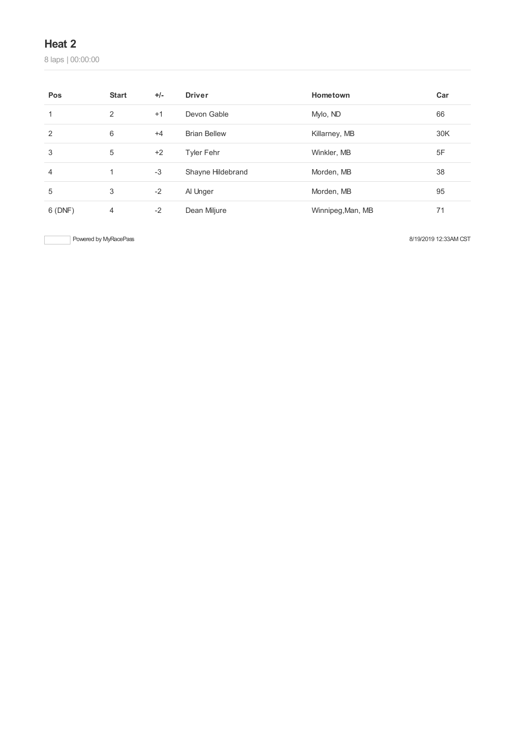laps | 00:00:00

| Pos    | <b>Start</b>   | $+/-$ | <b>Driver</b>       | Hometown          | Car |
|--------|----------------|-------|---------------------|-------------------|-----|
| 1      | 2              | $+1$  | Devon Gable         | Mylo, ND          | 66  |
| 2      | 6              | $+4$  | <b>Brian Bellew</b> | Killarney, MB     | 30K |
| 3      | 5              | $+2$  | <b>Tyler Fehr</b>   | Winkler, MB       | 5F  |
| 4      |                | $-3$  | Shayne Hildebrand   | Morden, MB        | 38  |
| 5      | 3              | $-2$  | Al Unger            | Morden, MB        | 95  |
| 6(DNF) | $\overline{4}$ | $-2$  | Dean Miljure        | Winnipeg, Man, MB | 71  |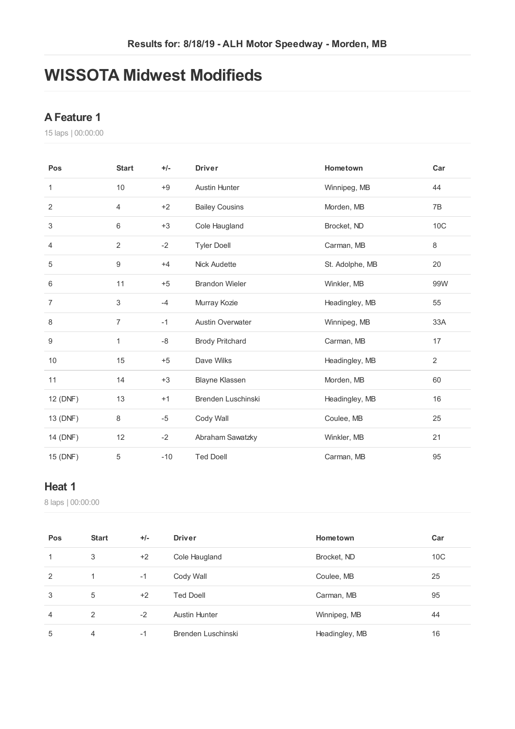# **WISSOTA Midwest Modifieds**

#### **AFeature 1**

laps | 00:00:00

| Pos            | <b>Start</b>   | $+/-$ | <b>Driver</b>           | Hometown        | Car            |
|----------------|----------------|-------|-------------------------|-----------------|----------------|
| 1              | 10             | $+9$  | <b>Austin Hunter</b>    | Winnipeg, MB    | 44             |
| $\overline{2}$ | 4              | $+2$  | <b>Bailey Cousins</b>   | Morden, MB      | 7B             |
| 3              | 6              | $+3$  | Cole Haugland           | Brocket, ND     | 10C            |
| 4              | $\overline{2}$ | $-2$  | <b>Tyler Doell</b>      | Carman, MB      | $\,8\,$        |
| 5              | 9              | $+4$  | <b>Nick Audette</b>     | St. Adolphe, MB | 20             |
| 6              | 11             | $+5$  | <b>Brandon Wieler</b>   | Winkler, MB     | 99W            |
| $\overline{7}$ | 3              | $-4$  | Murray Kozie            | Headingley, MB  | 55             |
| 8              | $\overline{7}$ | $-1$  | <b>Austin Overwater</b> | Winnipeg, MB    | 33A            |
| 9              | $\mathbf{1}$   | -8    | <b>Brody Pritchard</b>  | Carman, MB      | 17             |
| 10             | 15             | $+5$  | Dave Wilks              | Headingley, MB  | $\overline{2}$ |
| 11             | 14             | $+3$  | Blayne Klassen          | Morden, MB      | 60             |
| 12 (DNF)       | 13             | $+1$  | Brenden Luschinski      | Headingley, MB  | 16             |
| 13 (DNF)       | 8              | $-5$  | Cody Wall               | Coulee, MB      | 25             |
| 14 (DNF)       | 12             | $-2$  | Abraham Sawatzky        | Winkler, MB     | 21             |
| 15 (DNF)       | 5              | $-10$ | <b>Ted Doell</b>        | Carman, MB      | 95             |

#### **Heat 1**

| Pos | <b>Start</b> | $+/-$ | <b>Driver</b>      | Hometown       | Car             |
|-----|--------------|-------|--------------------|----------------|-----------------|
| 1   | 3            | $+2$  | Cole Haugland      | Brocket, ND    | 10 <sup>C</sup> |
| 2   |              | $-1$  | Cody Wall          | Coulee, MB     | 25              |
| 3   | 5            | $+2$  | <b>Ted Doell</b>   | Carman, MB     | 95              |
| 4   | 2            | $-2$  | Austin Hunter      | Winnipeg, MB   | 44              |
| 5   | 4            | $-1$  | Brenden Luschinski | Headingley, MB | 16              |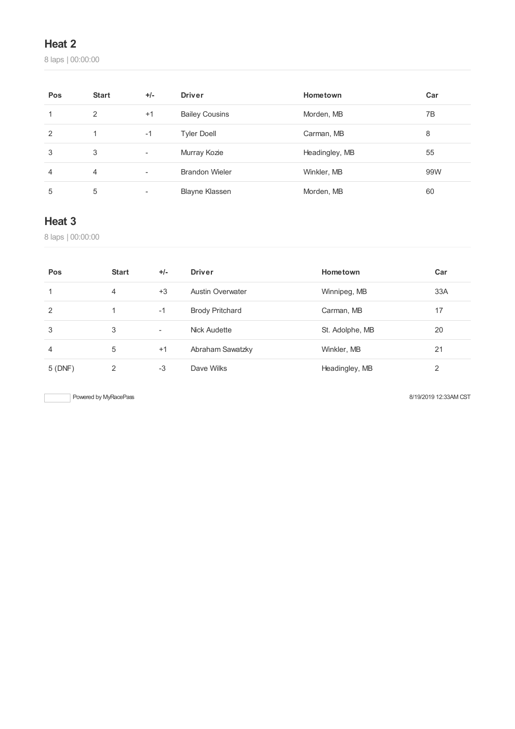laps | 00:00:00

| Pos           | <b>Start</b> | $+/-$                    | <b>Driver</b>         | Hometown       | Car |
|---------------|--------------|--------------------------|-----------------------|----------------|-----|
|               | 2            | $+1$                     | <b>Bailey Cousins</b> | Morden, MB     | 7B  |
| $\mathcal{P}$ | 1.           | $-1$                     | <b>Tyler Doell</b>    | Carman, MB     | 8   |
| 3             | 3            | ۰                        | Murray Kozie          | Headingley, MB | 55  |
| 4             | 4            | $\overline{\phantom{a}}$ | <b>Brandon Wieler</b> | Winkler, MB    | 99W |
| 5             | 5            |                          | <b>Blayne Klassen</b> | Morden, MB     | 60  |

### **Heat 3**

laps | 00:00:00

| Pos    | <b>Start</b> | $+/-$                    | <b>Driver</b>           | Hometown        | Car |
|--------|--------------|--------------------------|-------------------------|-----------------|-----|
|        | 4            | $+3$                     | <b>Austin Overwater</b> | Winnipeg, MB    | 33A |
| 2      |              | $-1$                     | <b>Brody Pritchard</b>  | Carman, MB      | 17  |
| 3      | 3            | $\overline{\phantom{a}}$ | Nick Audette            | St. Adolphe, MB | 20  |
| 4      | 5            | $+1$                     | Abraham Sawatzky        | Winkler, MB     | 21  |
| 5(DNF) | 2            | $-3$                     | Dave Wilks              | Headingley, MB  | 2   |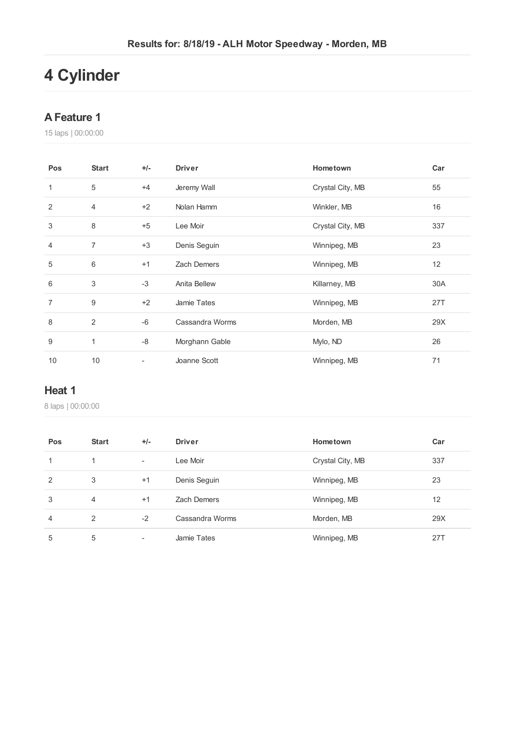# **Cylinder**

#### **AFeature 1**

laps | 00:00:00

| Pos            | <b>Start</b>   | $+/-$                    | <b>Driver</b>       | Hometown         | Car |
|----------------|----------------|--------------------------|---------------------|------------------|-----|
| $\mathbf{1}$   | $\sqrt{5}$     | $+4$                     | Jeremy Wall         | Crystal City, MB | 55  |
| 2              | $\overline{4}$ | $+2$                     | Nolan Hamm          | Winkler, MB      | 16  |
| 3              | 8              | $+5$                     | Lee Moir            | Crystal City, MB | 337 |
| $\overline{4}$ | $\overline{7}$ | $+3$                     | Denis Seguin        | Winnipeg, MB     | 23  |
| 5              | $6\,$          | $+1$                     | Zach Demers         | Winnipeg, MB     | 12  |
| 6              | 3              | $-3$                     | <b>Anita Bellew</b> | Killarney, MB    | 30A |
| $\overline{7}$ | 9              | $+2$                     | Jamie Tates         | Winnipeg, MB     | 27T |
| 8              | 2              | $-6$                     | Cassandra Worms     | Morden, MB       | 29X |
| 9              | 1              | -8                       | Morghann Gable      | Mylo, ND         | 26  |
| 10             | 10             | $\overline{\phantom{a}}$ | Joanne Scott        | Winnipeg, MB     | 71  |

#### **Heat 1**

| Pos            | <b>Start</b>   | $+/-$                    | <b>Driver</b>      | Hometown         | Car |
|----------------|----------------|--------------------------|--------------------|------------------|-----|
| 1              |                | $\overline{\phantom{a}}$ | Lee Moir           | Crystal City, MB | 337 |
| 2              | 3              | $+1$                     | Denis Seguin       | Winnipeg, MB     | 23  |
| 3              | $\overline{4}$ | $+1$                     | <b>Zach Demers</b> | Winnipeg, MB     | 12  |
| $\overline{4}$ | 2              | $-2$                     | Cassandra Worms    | Morden, MB       | 29X |
| 5              | 5              |                          | <b>Jamie Tates</b> | Winnipeg, MB     | 271 |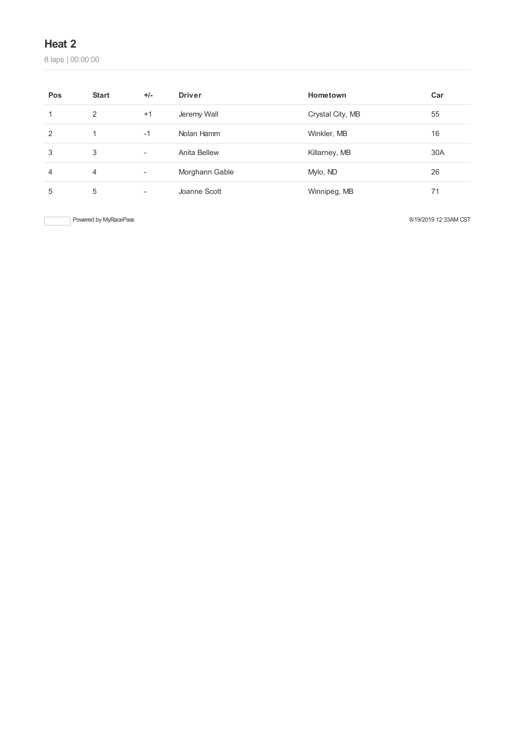laps | 00:00:00

| Pos | <b>Start</b>   | $+/-$                    | <b>Driver</b>  | Hometown         | Car |
|-----|----------------|--------------------------|----------------|------------------|-----|
|     | 2              | $+1$                     | Jeremy Wall    | Crystal City, MB | 55  |
| 2   | 1              | $-1$                     | Nolan Hamm     | Winkler, MB      | 16  |
| 3   | 3              | $\overline{\phantom{a}}$ | Anita Bellew   | Killarney, MB    | 30A |
| 4   | $\overline{4}$ | ٠                        | Morghann Gable | Mylo, ND         | 26  |
| 5   | 5              | ٠                        | Joanne Scott   | Winnipeg, MB     | 71  |